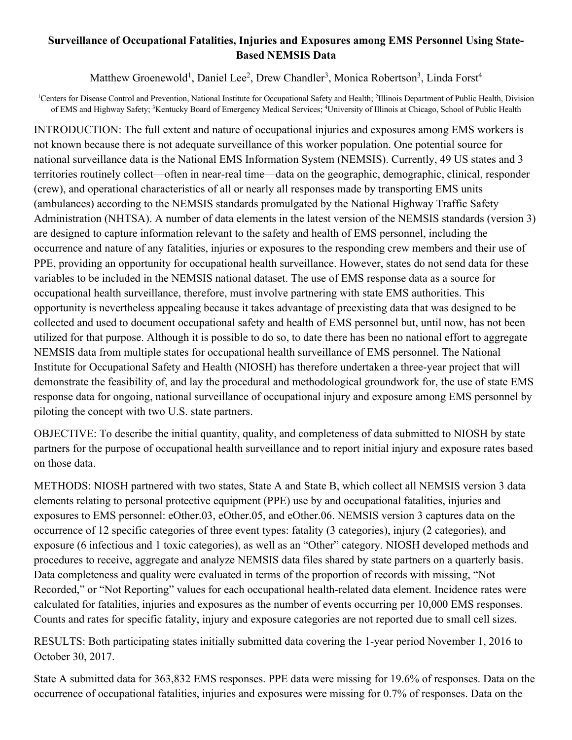## **Surveillance of Occupational Fatalities, Injuries and Exposures among EMS Personnel Using State-Based NEMSIS Data**

Matthew Groenewold<sup>1</sup>, Daniel Lee<sup>2</sup>, Drew Chandler<sup>3</sup>, Monica Robertson<sup>3</sup>, Linda Forst<sup>4</sup>

<sup>1</sup>Centers for Disease Control and Prevention, National Institute for Occupational Safety and Health; <sup>2</sup>Illinois Department of Public Health, Division of EMS and Highway Safety; <sup>3</sup>Kentucky Board of Emergency Medical Services; <sup>4</sup>University of Illinois at Chicago, School of Public Health

INTRODUCTION: The full extent and nature of occupational injuries and exposures among EMS workers is not known because there is not adequate surveillance of this worker population. One potential source for national surveillance data is the National EMS Information System (NEMSIS). Currently, 49 US states and 3 territories routinely collect—often in near-real time—data on the geographic, demographic, clinical, responder (crew), and operational characteristics of all or nearly all responses made by transporting EMS units (ambulances) according to the NEMSIS standards promulgated by the National Highway Traffic Safety Administration (NHTSA). A number of data elements in the latest version of the NEMSIS standards (version 3) are designed to capture information relevant to the safety and health of EMS personnel, including the occurrence and nature of any fatalities, injuries or exposures to the responding crew members and their use of PPE, providing an opportunity for occupational health surveillance. However, states do not send data for these variables to be included in the NEMSIS national dataset. The use of EMS response data as a source for occupational health surveillance, therefore, must involve partnering with state EMS authorities. This opportunity is nevertheless appealing because it takes advantage of preexisting data that was designed to be collected and used to document occupational safety and health of EMS personnel but, until now, has not been utilized for that purpose. Although it is possible to do so, to date there has been no national effort to aggregate NEMSIS data from multiple states for occupational health surveillance of EMS personnel. The National Institute for Occupational Safety and Health (NIOSH) has therefore undertaken a three-year project that will demonstrate the feasibility of, and lay the procedural and methodological groundwork for, the use of state EMS response data for ongoing, national surveillance of occupational injury and exposure among EMS personnel by piloting the concept with two U.S. state partners.

OBJECTIVE: To describe the initial quantity, quality, and completeness of data submitted to NIOSH by state partners for the purpose of occupational health surveillance and to report initial injury and exposure rates based on those data.

METHODS: NIOSH partnered with two states, State A and State B, which collect all NEMSIS version 3 data elements relating to personal protective equipment (PPE) use by and occupational fatalities, injuries and exposures to EMS personnel: eOther.03, eOther.05, and eOther.06. NEMSIS version 3 captures data on the occurrence of 12 specific categories of three event types: fatality (3 categories), injury (2 categories), and exposure (6 infectious and 1 toxic categories), as well as an "Other" category. NIOSH developed methods and procedures to receive, aggregate and analyze NEMSIS data files shared by state partners on a quarterly basis. Data completeness and quality were evaluated in terms of the proportion of records with missing, "Not Recorded," or "Not Reporting" values for each occupational health-related data element. Incidence rates were calculated for fatalities, injuries and exposures as the number of events occurring per 10,000 EMS responses. Counts and rates for specific fatality, injury and exposure categories are not reported due to small cell sizes.

RESULTS: Both participating states initially submitted data covering the 1-year period November 1, 2016 to October 30, 2017.

State A submitted data for 363,832 EMS responses. PPE data were missing for 19.6% of responses. Data on the occurrence of occupational fatalities, injuries and exposures were missing for 0.7% of responses. Data on the